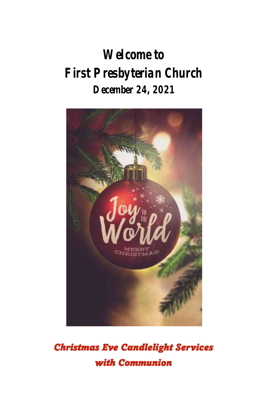# **Welcome to First Presbyterian Church December 24, 2021**



*Christmas Eve Candlelight Services with Communion*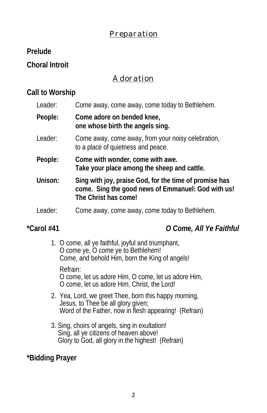### *Preparation*

**Prelude** 

**Choral Introit**

### *Adoration*

### **Call to Worship**

| Leader: | Come away, come away, come today to Bethlehem.                                                                                       |
|---------|--------------------------------------------------------------------------------------------------------------------------------------|
| People: | Come adore on bended knee,<br>one whose birth the angels sing.                                                                       |
| Leader: | Come away, come away, from your noisy celebration,<br>to a place of quietness and peace.                                             |
| People: | Come with wonder, come with awe.<br>Take your place among the sheep and cattle.                                                      |
| Unison: | Sing with joy, praise God, for the time of promise has<br>come. Sing the good news of Emmanuel: God with us!<br>The Christ has come! |
| Leader: | Come away, come away, come today to Bethlehem.                                                                                       |
|         |                                                                                                                                      |

**\*Carol #41** *O Come, All Ye Faithful*

1. O come, all ye faithful, joyful and triumphant, O come ye, O come ye to Bethlehem! Come, and behold Him, born the King of angels! Refrain: O come, let us adore Him, O come, let us adore Him, O come, let us adore Him, Christ, the Lord!

- 2. Yea, Lord, we greet Thee, born this happy morning, Jesus, to Thee be all glory given; Word of the Father, now in flesh appearing! (Refrain)
- 3. Sing, choirs of angels, sing in exultation! Sing, all ye citizens of heaven above! Glory to God, all glory in the highest! (Refrain)

**\*Bidding Prayer**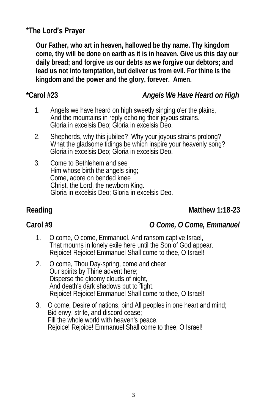### **\*The Lord's Prayer**

**Our Father, who art in heaven, hallowed be thy name. Thy kingdom come, thy will be done on earth as it is in heaven. Give us this day our daily bread; and forgive us our debts as we forgive our debtors; and lead us not into temptation, but deliver us from evil. For thine is the kingdom and the power and the glory, forever. Amen.** 

### **\*Carol #23** *Angels We Have Heard on High*

- 1. Angels we have heard on high sweetly singing o'er the plains, And the mountains in reply echoing their joyous strains. Gloria in excelsis Deo; Gloria in excelsis Deo.
- 2. Shepherds, why this jubilee? Why your joyous strains prolong? What the gladsome tidings be which inspire your heavenly song? Gloria in excelsis Deo; Gloria in excelsis Deo.
- 3. Come to Bethlehem and see Him whose birth the angels sing; Come, adore on bended knee Christ, the Lord, the newborn King. Gloria in excelsis Deo; Gloria in excelsis Deo.

### Reading **Matthew 1:18-23**

**Carol #9** *O Come, O Come, Emmanuel*

- 1. O come, O come, Emmanuel, And ransom captive Israel, That mourns in lonely exile here until the Son of God appear. Rejoice! Rejoice! Emmanuel Shall come to thee, O Israel!
- 2. O come, Thou Day-spring, come and cheer Our spirits by Thine advent here; Disperse the gloomy clouds of night, And death's dark shadows put to flight. Rejoice! Rejoice! Emmanuel Shall come to thee, O Israel!
- 3. O come, Desire of nations, bind All peoples in one heart and mind; Bid envy, strife, and discord cease; Fill the whole world with heaven's peace. Rejoice! Rejoice! Emmanuel Shall come to thee, O Israel!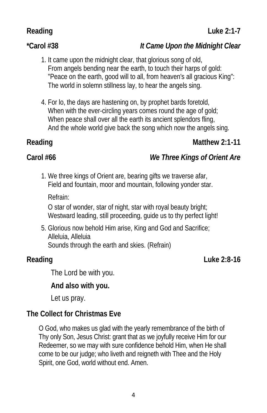### **\*Carol #38** *It Came Upon the Midnight Clear*

- 1. It came upon the midnight clear, that glorious song of old, From angels bending near the earth, to touch their harps of gold: "Peace on the earth, good will to all, from heaven's all gracious King": The world in solemn stillness lay, to hear the angels sing.
- 4. For lo, the days are hastening on, by prophet bards foretold, When with the ever-circling years comes round the age of gold; When peace shall over all the earth its ancient splendors fling, And the whole world give back the song which now the angels sing.

**Carol #66** *We Three Kings of Orient Are*

1. We three kings of Orient are, bearing gifts we traverse afar, Field and fountain, moor and mountain, following yonder star.

Refrain:

 O star of wonder, star of night, star with royal beauty bright; Westward leading, still proceeding, guide us to thy perfect light!

5. Glorious now behold Him arise, King and God and Sacrifice; Alleluia, Alleluia Sounds through the earth and skies. (Refrain)

### Reading **Luke 2:8-16**

The Lord be with you.

**And also with you.**

Let us pray.

**The Collect for Christmas Eve** 

O God, who makes us glad with the yearly remembrance of the birth of Thy only Son, Jesus Christ: grant that as we joyfully receive Him for our Redeemer, so we may with sure confidence behold Him, when He shall come to be our judge; who liveth and reigneth with Thee and the Holy Spirit, one God, world without end. Amen.

## Reading **Matthew 2:1-11** Matthew 2:1-11

Reading Luke 2:1-7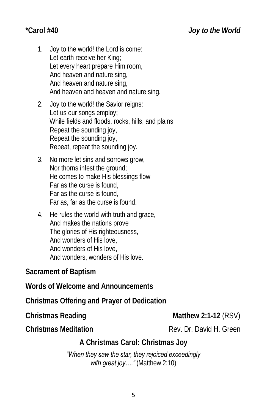- 1. Joy to the world! the Lord is come: Let earth receive her King; Let every heart prepare Him room, And heaven and nature sing, And heaven and nature sing, And heaven and heaven and nature sing.
- 2. Joy to the world! the Savior reigns: Let us our songs employ; While fields and floods, rocks, hills, and plains Repeat the sounding joy, Repeat the sounding joy, Repeat, repeat the sounding joy.
- 3. No more let sins and sorrows grow, Nor thorns infest the ground; He comes to make His blessings flow Far as the curse is found, Far as the curse is found, Far as, far as the curse is found.
- 4. He rules the world with truth and grace, And makes the nations prove The glories of His righteousness, And wonders of His love, And wonders of His love, And wonders, wonders of His love.

**Sacrament of Baptism**

**Words of Welcome and Announcements**

**Christmas Offering and Prayer of Dedication**

**Christmas Reading Matthew 2:1-12 (RSV)** 

**Christmas Meditation** Rev. Dr. David H. Green

**A Christmas Carol: Christmas Joy**

*"When they saw the star, they rejoiced exceedingly with great joy…."* (Matthew 2:10)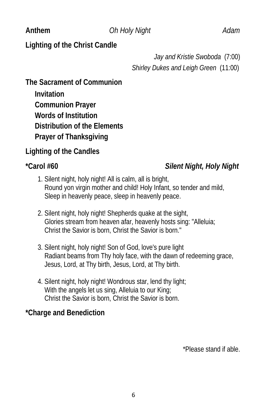### Anthem *Oh Holy Night Adam*

**Lighting of the Christ Candle** 

*Jay and Kristie Swoboda* (7:00) *Shirley Dukes and Leigh Green* (11:00)

**The Sacrament of Communion**

 **Invitation**

 **Communion Prayer Words of Institution Distribution of the Elements Prayer of Thanksgiving**

**Lighting of the Candles**

**\*Carol #60** *Silent Night, Holy Night*

- 1. Silent night, holy night! All is calm, all is bright, Round yon virgin mother and child! Holy Infant, so tender and mild, Sleep in heavenly peace, sleep in heavenly peace.
- 2. Silent night, holy night! Shepherds quake at the sight, Glories stream from heaven afar, heavenly hosts sing: "Alleluia; Christ the Savior is born, Christ the Savior is born."
- 3. Silent night, holy night! Son of God, love's pure light Radiant beams from Thy holy face, with the dawn of redeeming grace, Jesus, Lord, at Thy birth, Jesus, Lord, at Thy birth.
- 4. Silent night, holy night! Wondrous star, lend thy light; With the angels let us sing, Alleluia to our King; Christ the Savior is born, Christ the Savior is born.

**\*Charge and Benediction**

\*Please stand if able.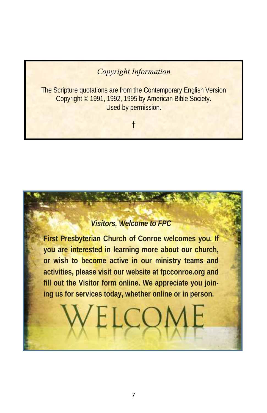### *Copyright Information*

The Scripture quotations are from the Contemporary English Version Copyright © 1991, 1992, 1995 by American Bible Society. Used by permission.

†